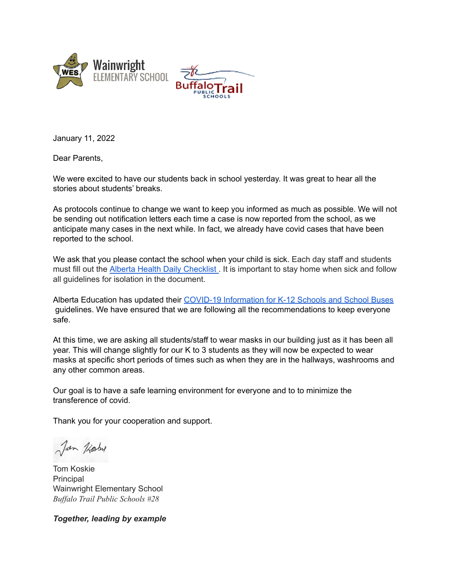



January 11, 2022

Dear Parents,

We were excited to have our students back in school yesterday. It was great to hear all the stories about students' breaks.

As protocols continue to change we want to keep you informed as much as possible. We will not be sending out notification letters each time a case is now reported from the school, as we anticipate many cases in the next while. In fact, we already have covid cases that have been reported to the school.

We ask that you please contact the school when your child is sick. Each day staff and students must fill out the Alberta Health Daily [Checklist](https://open.alberta.ca/publications/covid-19-information-alberta-health-daily-checklist) . It is important to stay home when sick and follow all guidelines for isolation in the document.

Alberta Education has updated their COVID-19 [Information](https://open.alberta.ca/publications/covid-19-information-guidance-for-schools-k12-school-buses) for K-12 Schools and School Buses guidelines. We have ensured that we are following all the recommendations to keep everyone safe.

At this time, we are asking all students/staff to wear masks in our building just as it has been all year. This will change slightly for our K to 3 students as they will now be expected to wear masks at specific short periods of times such as when they are in the hallways, washrooms and any other common areas.

Our goal is to have a safe learning environment for everyone and to to minimize the transference of covid.

Thank you for your cooperation and support.

Jan Koby

Tom Koskie Principal Wainwright Elementary School *Buf alo Trail Public Schools #28*

*Together, leading by example*